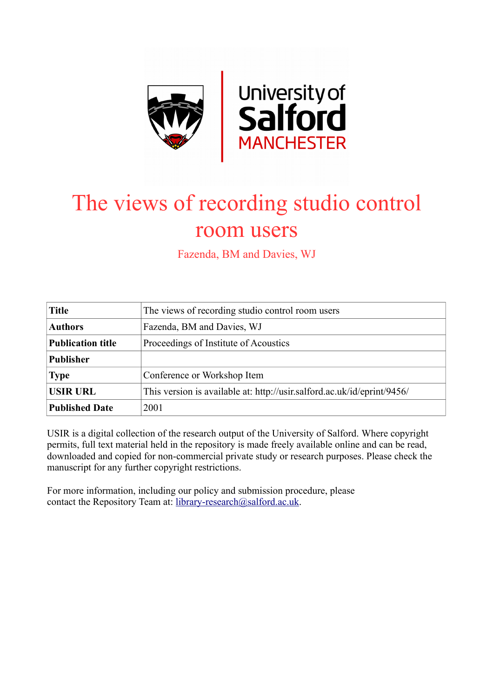

# The views of recording studio control room users

Fazenda, BM and Davies, WJ

| <b>Title</b>             | The views of recording studio control room users                        |
|--------------------------|-------------------------------------------------------------------------|
| <b>Authors</b>           | Fazenda, BM and Davies, WJ                                              |
| <b>Publication title</b> | Proceedings of Institute of Acoustics                                   |
| <b>Publisher</b>         |                                                                         |
| <b>Type</b>              | Conference or Workshop Item                                             |
| <b>USIR URL</b>          | This version is available at: http://usir.salford.ac.uk/id/eprint/9456/ |
| <b>Published Date</b>    | 2001                                                                    |

USIR is a digital collection of the research output of the University of Salford. Where copyright permits, full text material held in the repository is made freely available online and can be read, downloaded and copied for non-commercial private study or research purposes. Please check the manuscript for any further copyright restrictions.

For more information, including our policy and submission procedure, please contact the Repository Team at: [library-research@salford.ac.uk.](mailto:library-research@salford.ac.uk)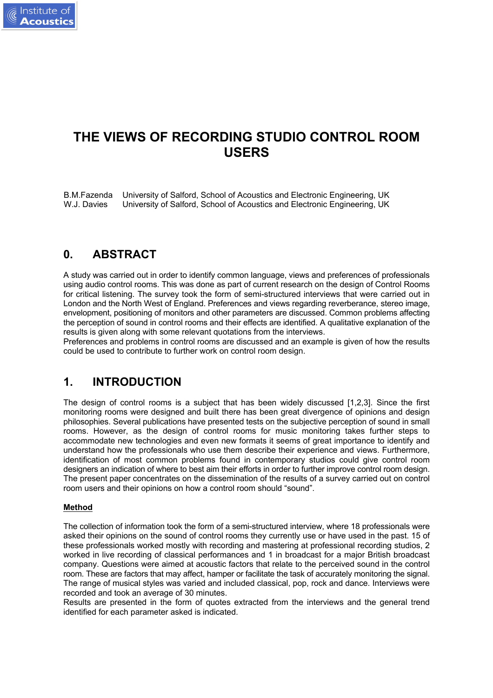

# **THE VIEWS OF RECORDING STUDIO CONTROL ROOM USERS**

B.M.Fazenda University of Salford, School of Acoustics and Electronic Engineering, UK W.J. Davies University of Salford, School of Acoustics and Electronic Engineering, UK

## **0. ABSTRACT**

A study was carried out in order to identify common language, views and preferences of professionals using audio control rooms. This was done as part of current research on the design of Control Rooms for critical listening. The survey took the form of semi-structured interviews that were carried out in London and the North West of England. Preferences and views regarding reverberance, stereo image, envelopment, positioning of monitors and other parameters are discussed. Common problems affecting the perception of sound in control rooms and their effects are identified. A qualitative explanation of the results is given along with some relevant quotations from the interviews.

Preferences and problems in control rooms are discussed and an example is given of how the results could be used to contribute to further work on control room design.

## **1. INTRODUCTION**

The design of control rooms is a subject that has been widely discussed [1,2,3]. Since the first monitoring rooms were designed and built there has been great divergence of opinions and design philosophies. Several publications have presented tests on the subjective perception of sound in small rooms. However, as the design of control rooms for music monitoring takes further steps to accommodate new technologies and even new formats it seems of great importance to identify and understand how the professionals who use them describe their experience and views. Furthermore, identification of most common problems found in contemporary studios could give control room designers an indication of where to best aim their efforts in order to further improve control room design. The present paper concentrates on the dissemination of the results of a survey carried out on control room users and their opinions on how a control room should "sound".

#### **Method**

The collection of information took the form of a semi-structured interview, where 18 professionals were asked their opinions on the sound of control rooms they currently use or have used in the past. 15 of these professionals worked mostly with recording and mastering at professional recording studios, 2 worked in live recording of classical performances and 1 in broadcast for a major British broadcast company. Questions were aimed at acoustic factors that relate to the perceived sound in the control room. These are factors that may affect, hamper or facilitate the task of accurately monitoring the signal. The range of musical styles was varied and included classical, pop, rock and dance. Interviews were recorded and took an average of 30 minutes.

Results are presented in the form of quotes extracted from the interviews and the general trend identified for each parameter asked is indicated.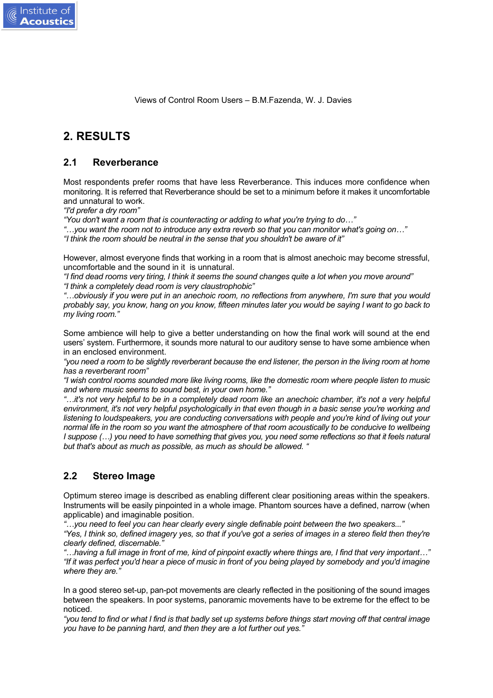# **2. RESULTS**

Institute of

#### **2.1 Reverberance**

Most respondents prefer rooms that have less Reverberance. This induces more confidence when monitoring. It is referred that Reverberance should be set to a minimum before it makes it uncomfortable and unnatural to work.

*"I'd prefer a dry room"*

*"You don't want a room that is counteracting or adding to what you're trying to do…"*

*"…you want the room not to introduce any extra reverb so that you can monitor what's going on…"*

*"I think the room should be neutral in the sense that you shouldn't be aware of it"*

However, almost everyone finds that working in a room that is almost anechoic may become stressful, uncomfortable and the sound in it is unnatural.

*"I find dead rooms very tiring, I think it seems the sound changes quite a lot when you move around" "I think a completely dead room is very claustrophobic"*

*"…obviously if you were put in an anechoic room, no reflections from anywhere, I'm sure that you would probably say, you know, hang on you know, fifteen minutes later you would be saying I want to go back to my living room."*

Some ambience will help to give a better understanding on how the final work will sound at the end users' system. Furthermore, it sounds more natural to our auditory sense to have some ambience when in an enclosed environment.

*"you need a room to be slightly reverberant because the end listener, the person in the living room at home has a reverberant room"*

*"I wish control rooms sounded more like living rooms, like the domestic room where people listen to music and where music seems to sound best, in your own home."*

*"…it's not very helpful to be in a completely dead room like an anechoic chamber, it's not a very helpful environment, it's not very helpful psychologically in that even though in a basic sense you're working and listening to loudspeakers, you are conducting conversations with people and you're kind of living out your normal life in the room so you want the atmosphere of that room acoustically to be conducive to wellbeing I suppose (…) you need to have something that gives you, you need some reflections so that it feels natural but that's about as much as possible, as much as should be allowed. "*

#### **2.2 Stereo Image**

Optimum stereo image is described as enabling different clear positioning areas within the speakers. Instruments will be easily pinpointed in a whole image. Phantom sources have a defined, narrow (when applicable) and imaginable position.

*"…you need to feel you can hear clearly every single definable point between the two speakers..."*

*"Yes, I think so, defined imagery yes, so that if you've got a series of images in a stereo field then they're clearly defined, discernable."*

*"…having a full image in front of me, kind of pinpoint exactly where things are, I find that very important…" "If it was perfect you'd hear a piece of music in front of you being played by somebody and you'd imagine where they are."*

In a good stereo set-up, pan-pot movements are clearly reflected in the positioning of the sound images between the speakers. In poor systems, panoramic movements have to be extreme for the effect to be noticed.

*"you tend to find or what I find is that badly set up systems before things start moving off that central image you have to be panning hard, and then they are a lot further out yes."*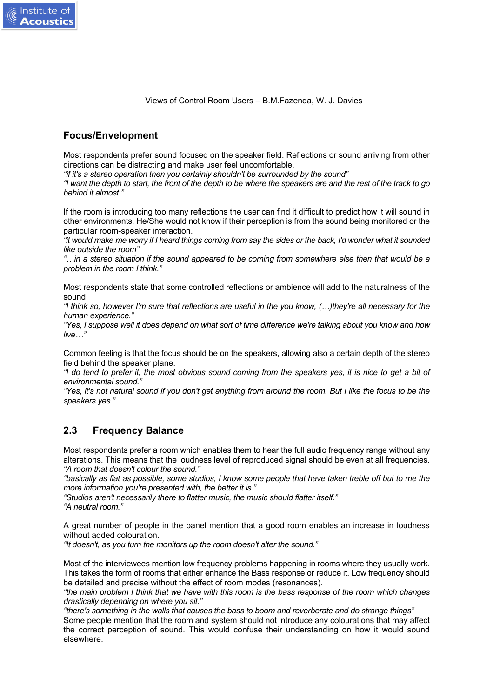

#### **Focus/Envelopment**

Institute of

Most respondents prefer sound focused on the speaker field. Reflections or sound arriving from other directions can be distracting and make user feel uncomfortable.

*"if it's a stereo operation then you certainly shouldn't be surrounded by the sound"*

*"I want the depth to start, the front of the depth to be where the speakers are and the rest of the track to go behind it almost."*

If the room is introducing too many reflections the user can find it difficult to predict how it will sound in other environments. He/She would not know if their perception is from the sound being monitored or the particular room-speaker interaction.

*"it would make me worry if I heard things coming from say the sides or the back, I'd wonder what it sounded like outside the room"*

*"…in a stereo situation if the sound appeared to be coming from somewhere else then that would be a problem in the room I think."*

Most respondents state that some controlled reflections or ambience will add to the naturalness of the sound.

*"I think so, however I'm sure that reflections are useful in the you know, (…)they're all necessary for the human experience."*

*"Yes, I suppose well it does depend on what sort of time difference we're talking about you know and how live…"*

Common feeling is that the focus should be on the speakers, allowing also a certain depth of the stereo field behind the speaker plane.

*"I do tend to prefer it, the most obvious sound coming from the speakers yes, it is nice to get a bit of environmental sound."*

*"Yes, it's not natural sound if you don't get anything from around the room. But I like the focus to be the speakers yes."*

#### **2.3 Frequency Balance**

Most respondents prefer a room which enables them to hear the full audio frequency range without any alterations. This means that the loudness level of reproduced signal should be even at all frequencies. *"A room that doesn't colour the sound."*

*"basically as flat as possible, some studios, I know some people that have taken treble off but to me the more information you're presented with, the better it is."*

*"Studios aren't necessarily there to flatter music, the music should flatter itself." "A neutral room."*

A great number of people in the panel mention that a good room enables an increase in loudness without added colouration.

*"It doesn't, as you turn the monitors up the room doesn't alter the sound."*

Most of the interviewees mention low frequency problems happening in rooms where they usually work. This takes the form of rooms that either enhance the Bass response or reduce it. Low frequency should be detailed and precise without the effect of room modes (resonances).

*"the main problem I think that we have with this room is the bass response of the room which changes drastically depending on where you sit."*

*"there's something in the walls that causes the bass to boom and reverberate and do strange things"* Some people mention that the room and system should not introduce any colourations that may affect the correct perception of sound. This would confuse their understanding on how it would sound elsewhere.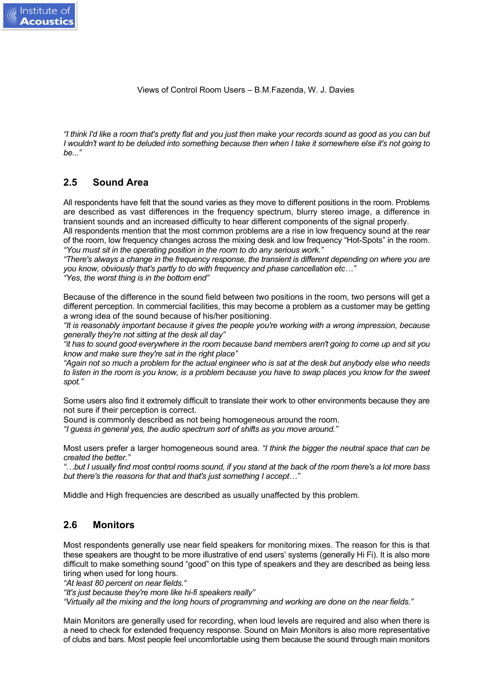*"I think I'd like a room that's pretty flat and you just then make your records sound as good as you can but I wouldn't want to be deluded into something because then when I take it somewhere else it's not going to be..."*

#### **2.5 Sound Area**

Institute of

All respondents have felt that the sound varies as they move to different positions in the room. Problems are described as vast differences in the frequency spectrum, blurry stereo image, a difference in transient sounds and an increased difficulty to hear different components of the signal properly.

All respondents mention that the most common problems are a rise in low frequency sound at the rear of the room, low frequency changes across the mixing desk and low frequency "Hot-Spots" in the room. *"You must sit in the operating position in the room to do any serious work."*

*"There's always a change in the frequency response, the transient is different depending on where you are you know, obviously that's partly to do with frequency and phase cancellation etc…"*

*"Yes, the worst thing is in the bottom end"*

Because of the difference in the sound field between two positions in the room, two persons will get a different perception. In commercial facilities, this may become a problem as a customer may be getting a wrong idea of the sound because of his/her positioning.

*"It is reasonably important because it gives the people you're working with a wrong impression, because generally they're not sitting at the desk all day"*

*"it has to sound good everywhere in the room because band members aren't going to come up and sit you know and make sure they're sat in the right place"*

*"Again not so much a problem for the actual engineer who is sat at the desk but anybody else who needs to listen in the room is you know, is a problem because you have to swap places you know for the sweet spot."*

Some users also find it extremely difficult to translate their work to other environments because they are not sure if their perception is correct.

Sound is commonly described as not being homogeneous around the room.

*"I guess in general yes, the audio spectrum sort of shifts as you move around."*

Most users prefer a larger homogeneous sound area. *"I think the bigger the neutral space that can be created the better."*

*"…but I usually find most control rooms sound, if you stand at the back of the room there's a lot more bass but there's the reasons for that and that's just something I accept…"*

Middle and High frequencies are described as usually unaffected by this problem.

#### **2.6 Monitors**

Most respondents generally use near field speakers for monitoring mixes. The reason for this is that these speakers are thought to be more illustrative of end users' systems (generally Hi Fi). It is also more difficult to make something sound "good" on this type of speakers and they are described as being less tiring when used for long hours.

*"At least 80 percent on near fields."*

*"It's just because they're more like hi-fi speakers really"*

*"Virtually all the mixing and the long hours of programming and working are done on the near fields."*

Main Monitors are generally used for recording, when loud levels are required and also when there is a need to check for extended frequency response. Sound on Main Monitors is also more representative of clubs and bars. Most people feel uncomfortable using them because the sound through main monitors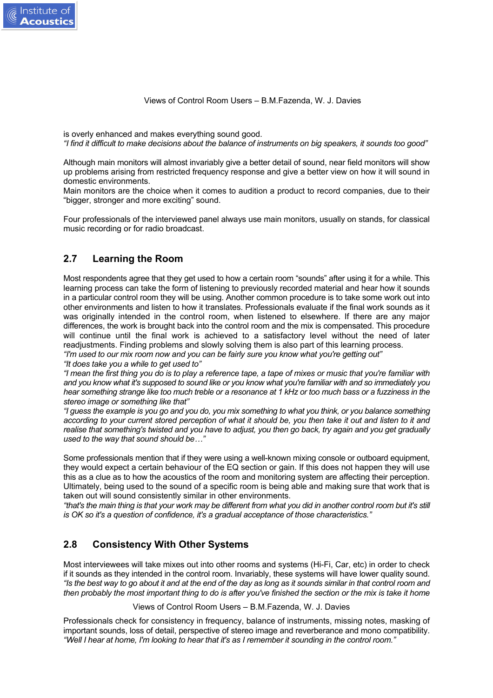is overly enhanced and makes everything sound good.

*"I find it difficult to make decisions about the balance of instruments on big speakers, it sounds too good"*

Although main monitors will almost invariably give a better detail of sound, near field monitors will show up problems arising from restricted frequency response and give a better view on how it will sound in domestic environments.

Main monitors are the choice when it comes to audition a product to record companies, due to their "bigger, stronger and more exciting" sound.

Four professionals of the interviewed panel always use main monitors, usually on stands, for classical music recording or for radio broadcast.

#### **2.7 Learning the Room**

Most respondents agree that they get used to how a certain room "sounds" after using it for a while. This learning process can take the form of listening to previously recorded material and hear how it sounds in a particular control room they will be using. Another common procedure is to take some work out into other environments and listen to how it translates. Professionals evaluate if the final work sounds as it was originally intended in the control room, when listened to elsewhere. If there are any major differences, the work is brought back into the control room and the mix is compensated. This procedure will continue until the final work is achieved to a satisfactory level without the need of later readjustments. Finding problems and slowly solving them is also part of this learning process. *"I'm used to our mix room now and you can be fairly sure you know what you're getting out" "It does take you a while to get used to"*

*"I mean the first thing you do is to play a reference tape, a tape of mixes or music that you're familiar with and you know what it's supposed to sound like or you know what you're familiar with and so immediately you hear something strange like too much treble or a resonance at 1 kHz or too much bass or a fuzziness in the stereo image or something like that"*

*"I guess the example is you go and you do, you mix something to what you think, or you balance something according to your current stored perception of what it should be, you then take it out and listen to it and realise that something's twisted and you have to adjust, you then go back, try again and you get gradually used to the way that sound should be…"*

Some professionals mention that if they were using a well-known mixing console or outboard equipment, they would expect a certain behaviour of the EQ section or gain. If this does not happen they will use this as a clue as to how the acoustics of the room and monitoring system are affecting their perception. Ultimately, being used to the sound of a specific room is being able and making sure that work that is taken out will sound consistently similar in other environments.

*"that's the main thing is that your work may be different from what you did in another control room but it's still is OK so it's a question of confidence, it's a gradual acceptance of those characteristics."*

#### **2.8 Consistency With Other Systems**

Most interviewees will take mixes out into other rooms and systems (Hi-Fi, Car, etc) in order to check if it sounds as they intended in the control room. Invariably, these systems will have lower quality sound. *"Is the best way to go about it and at the end of the day as long as it sounds similar in that control room and then probably the most important thing to do is after you've finished the section or the mix is take it home*

*and listen to it at home, listen to as many different speakers as you can"* Views of Control Room Users – B.M.Fazenda, W. J. Davies

Professionals check for consistency in frequency, balance of instruments, missing notes, masking of important sounds, loss of detail, perspective of stereo image and reverberance and mono compatibility. *"Well I hear at home, I'm looking to hear that it's as I remember it sounding in the control room."*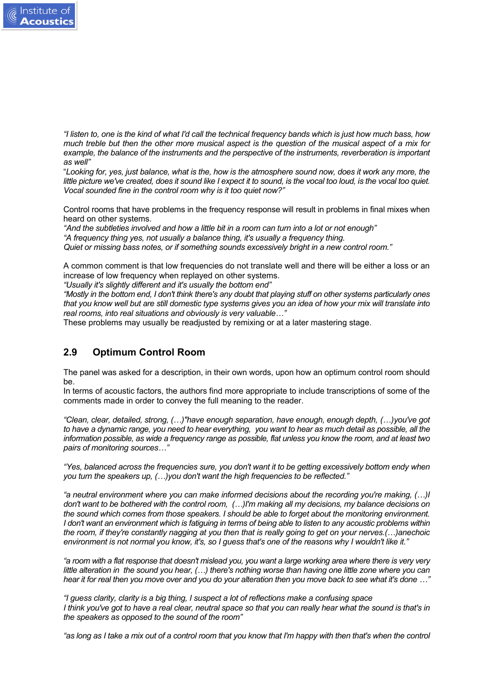

*"I listen to, one is the kind of what I'd call the technical frequency bands which is just how much bass, how much treble but then the other more musical aspect is the question of the musical aspect of a mix for example, the balance of the instruments and the perspective of the instruments, reverberation is important as well"*

"*Looking for, yes, just balance, what is the, how is the atmosphere sound now, does it work any more, the little picture we've created, does it sound like I expect it to sound, is the vocal too loud, is the vocal too quiet. Vocal sounded fine in the control room why is it too quiet now?"*

Control rooms that have problems in the frequency response will result in problems in final mixes when heard on other systems.

*"And the subtleties involved and how a little bit in a room can turn into a lot or not enough"*

*"A frequency thing yes, not usually a balance thing, it's usually a frequency thing.*

*Quiet or missing bass notes, or if something sounds excessively bright in a new control room."*

A common comment is that low frequencies do not translate well and there will be either a loss or an increase of low frequency when replayed on other systems.

*"Usually it's slightly different and it's usually the bottom end"*

*"Mostly in the bottom end, I don't think there's any doubt that playing stuff on other systems particularly ones that you know well but are still domestic type systems gives you an idea of how your mix will translate into real rooms, into real situations and obviously is very valuable…"*

These problems may usually be readjusted by remixing or at a later mastering stage.

#### **2.9 Optimum Control Room**

The panel was asked for a description, in their own words, upon how an optimum control room should be.

In terms of acoustic factors, the authors find more appropriate to include transcriptions of some of the comments made in order to convey the full meaning to the reader.

*"Clean, clear, detailed, strong, (…)"have enough separation, have enough, enough depth, (…)you've got to have a dynamic range, you need to hear everything, you want to hear as much detail as possible, all the information possible, as wide a frequency range as possible, flat unless you know the room, and at least two pairs of monitoring sources…"*

*"Yes, balanced across the frequencies sure, you don't want it to be getting excessively bottom endy when you turn the speakers up, (…)you don't want the high frequencies to be reflected."*

*"a neutral environment where you can make informed decisions about the recording you're making, (…)I don't want to be bothered with the control room, (…)I'm making all my decisions, my balance decisions on the sound which comes from those speakers. I should be able to forget about the monitoring environment. I don't want an environment which is fatiguing in terms of being able to listen to any acoustic problems within the room, if they're constantly nagging at you then that is really going to get on your nerves.(…)anechoic environment is not normal you know, it's, so I guess that's one of the reasons why I wouldn't like it."*

*"a room with a flat response that doesn't mislead you, you want a large working area where there is very very little alteration in the sound you hear, (…) there's nothing worse than having one little zone where you can hear it for real then you move over and you do your alteration then you move back to see what it's done …"*

*"I guess clarity, clarity is a big thing, I suspect a lot of reflections make a confusing space I think you've got to have a real clear, neutral space so that you can really hear what the sound is that's in the speakers as opposed to the sound of the room"*

*"as long as I take a mix out of a control room that you know that I'm happy with then that's when the control*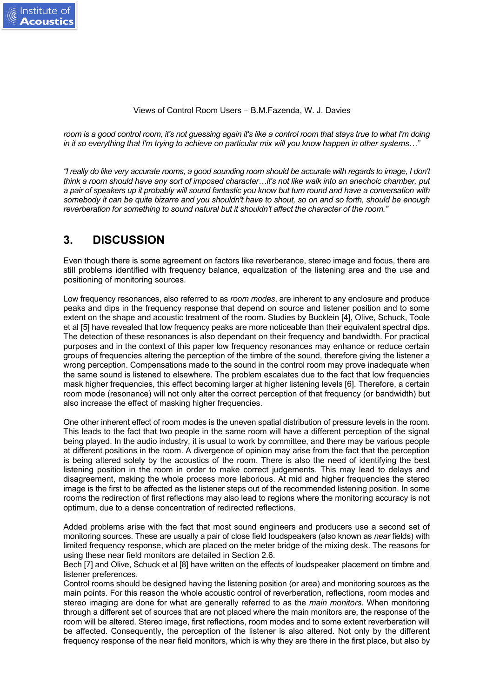*room is a good control room, it's not guessing again it's like a control room that stays true to what I'm doing in it so everything that I'm trying to achieve on particular mix will you know happen in other systems…"*

*"I really do like very accurate rooms, a good sounding room should be accurate with regards to image, I don't think a room should have any sort of imposed character…it's not like walk into an anechoic chamber, put a pair of speakers up it probably will sound fantastic you know but turn round and have a conversation with somebody it can be quite bizarre and you shouldn't have to shout, so on and so forth, should be enough reverberation for something to sound natural but it shouldn't affect the character of the room."*

#### **3. DISCUSSION**

Even though there is some agreement on factors like reverberance, stereo image and focus, there are still problems identified with frequency balance, equalization of the listening area and the use and positioning of monitoring sources.

Low frequency resonances, also referred to as *room modes*, are inherent to any enclosure and produce peaks and dips in the frequency response that depend on source and listener position and to some extent on the shape and acoustic treatment of the room. Studies by Bucklein [4], Olive, Schuck, Toole et al [5] have revealed that low frequency peaks are more noticeable than their equivalent spectral dips. The detection of these resonances is also dependant on their frequency and bandwidth. For practical purposes and in the context of this paper low frequency resonances may enhance or reduce certain groups of frequencies altering the perception of the timbre of the sound, therefore giving the listener a wrong perception. Compensations made to the sound in the control room may prove inadequate when the same sound is listened to elsewhere. The problem escalates due to the fact that low frequencies mask higher frequencies, this effect becoming larger at higher listening levels [6]. Therefore, a certain room mode (resonance) will not only alter the correct perception of that frequency (or bandwidth) but also increase the effect of masking higher frequencies.

One other inherent effect of room modes is the uneven spatial distribution of pressure levels in the room. This leads to the fact that two people in the same room will have a different perception of the signal being played. In the audio industry, it is usual to work by committee, and there may be various people at different positions in the room. A divergence of opinion may arise from the fact that the perception is being altered solely by the acoustics of the room. There is also the need of identifying the best listening position in the room in order to make correct judgements. This may lead to delays and disagreement, making the whole process more laborious. At mid and higher frequencies the stereo image is the first to be affected as the listener steps out of the recommended listening position. In some rooms the redirection of first reflections may also lead to regions where the monitoring accuracy is not optimum, due to a dense concentration of redirected reflections.

Added problems arise with the fact that most sound engineers and producers use a second set of monitoring sources. These are usually a pair of close field loudspeakers (also known as *near* fields) with limited frequency response, which are placed on the meter bridge of the mixing desk. The reasons for using these near field monitors are detailed in Section 2.6.

Bech [7] and Olive, Schuck et al [8] have written on the effects of loudspeaker placement on timbre and listener preferences.

Control rooms should be designed having the listening position (or area) and monitoring sources as the main points. For this reason the whole acoustic control of reverberation, reflections, room modes and stereo imaging are done for what are generally referred to as the *main monitors*. When monitoring through a different set of sources that are not placed where the main monitors are, the response of the room will be altered. Stereo image, first reflections, room modes and to some extent reverberation will be affected. Consequently, the perception of the listener is also altered. Not only by the different frequency response of the near field monitors, which is why they are there in the first place, but also by